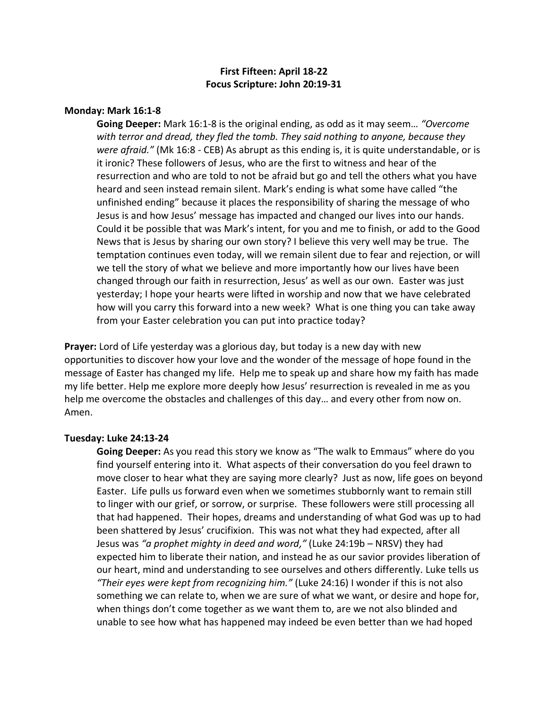# **First Fifteen: April 18-22 Focus Scripture: John 20:19-31**

### **Monday: Mark 16:1-8**

**Going Deeper:** Mark 16:1-8 is the original ending, as odd as it may seem… *"Overcome with terror and dread, they fled the tomb. They said nothing to anyone, because they were afraid."* (Mk 16:8 - CEB) As abrupt as this ending is, it is quite understandable, or is it ironic? These followers of Jesus, who are the first to witness and hear of the resurrection and who are told to not be afraid but go and tell the others what you have heard and seen instead remain silent. Mark's ending is what some have called "the unfinished ending" because it places the responsibility of sharing the message of who Jesus is and how Jesus' message has impacted and changed our lives into our hands. Could it be possible that was Mark's intent, for you and me to finish, or add to the Good News that is Jesus by sharing our own story? I believe this very well may be true. The temptation continues even today, will we remain silent due to fear and rejection, or will we tell the story of what we believe and more importantly how our lives have been changed through our faith in resurrection, Jesus' as well as our own. Easter was just yesterday; I hope your hearts were lifted in worship and now that we have celebrated how will you carry this forward into a new week? What is one thing you can take away from your Easter celebration you can put into practice today?

**Prayer:** Lord of Life yesterday was a glorious day, but today is a new day with new opportunities to discover how your love and the wonder of the message of hope found in the message of Easter has changed my life. Help me to speak up and share how my faith has made my life better. Help me explore more deeply how Jesus' resurrection is revealed in me as you help me overcome the obstacles and challenges of this day… and every other from now on. Amen.

### **Tuesday: Luke 24:13-24**

**Going Deeper:** As you read this story we know as "The walk to Emmaus" where do you find yourself entering into it. What aspects of their conversation do you feel drawn to move closer to hear what they are saying more clearly? Just as now, life goes on beyond Easter. Life pulls us forward even when we sometimes stubbornly want to remain still to linger with our grief, or sorrow, or surprise. These followers were still processing all that had happened. Their hopes, dreams and understanding of what God was up to had been shattered by Jesus' crucifixion. This was not what they had expected, after all Jesus was *"a prophet mighty in deed and word,"* (Luke 24:19b – NRSV) they had expected him to liberate their nation, and instead he as our savior provides liberation of our heart, mind and understanding to see ourselves and others differently. Luke tells us *"Their eyes were kept from recognizing him."* (Luke 24:16) I wonder if this is not also something we can relate to, when we are sure of what we want, or desire and hope for, when things don't come together as we want them to, are we not also blinded and unable to see how what has happened may indeed be even better than we had hoped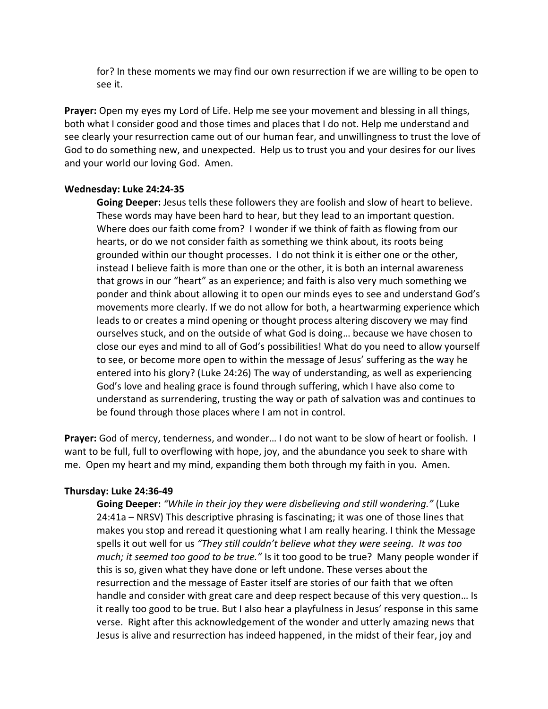for? In these moments we may find our own resurrection if we are willing to be open to see it.

**Prayer:** Open my eyes my Lord of Life. Help me see your movement and blessing in all things, both what I consider good and those times and places that I do not. Help me understand and see clearly your resurrection came out of our human fear, and unwillingness to trust the love of God to do something new, and unexpected. Help us to trust you and your desires for our lives and your world our loving God. Amen.

### **Wednesday: Luke 24:24-35**

**Going Deeper:** Jesus tells these followers they are foolish and slow of heart to believe. These words may have been hard to hear, but they lead to an important question. Where does our faith come from? I wonder if we think of faith as flowing from our hearts, or do we not consider faith as something we think about, its roots being grounded within our thought processes. I do not think it is either one or the other, instead I believe faith is more than one or the other, it is both an internal awareness that grows in our "heart" as an experience; and faith is also very much something we ponder and think about allowing it to open our minds eyes to see and understand God's movements more clearly. If we do not allow for both, a heartwarming experience which leads to or creates a mind opening or thought process altering discovery we may find ourselves stuck, and on the outside of what God is doing… because we have chosen to close our eyes and mind to all of God's possibilities! What do you need to allow yourself to see, or become more open to within the message of Jesus' suffering as the way he entered into his glory? (Luke 24:26) The way of understanding, as well as experiencing God's love and healing grace is found through suffering, which I have also come to understand as surrendering, trusting the way or path of salvation was and continues to be found through those places where I am not in control.

Prayer: God of mercy, tenderness, and wonder... I do not want to be slow of heart or foolish. I want to be full, full to overflowing with hope, joy, and the abundance you seek to share with me. Open my heart and my mind, expanding them both through my faith in you. Amen.

#### **Thursday: Luke 24:36-49**

**Going Deeper:** *"While in their joy they were disbelieving and still wondering."* (Luke 24:41a – NRSV) This descriptive phrasing is fascinating; it was one of those lines that makes you stop and reread it questioning what I am really hearing. I think the Message spells it out well for us *"They still couldn't believe what they were seeing. It was too much; it seemed too good to be true."* Is it too good to be true? Many people wonder if this is so, given what they have done or left undone. These verses about the resurrection and the message of Easter itself are stories of our faith that we often handle and consider with great care and deep respect because of this very question… Is it really too good to be true. But I also hear a playfulness in Jesus' response in this same verse. Right after this acknowledgement of the wonder and utterly amazing news that Jesus is alive and resurrection has indeed happened, in the midst of their fear, joy and